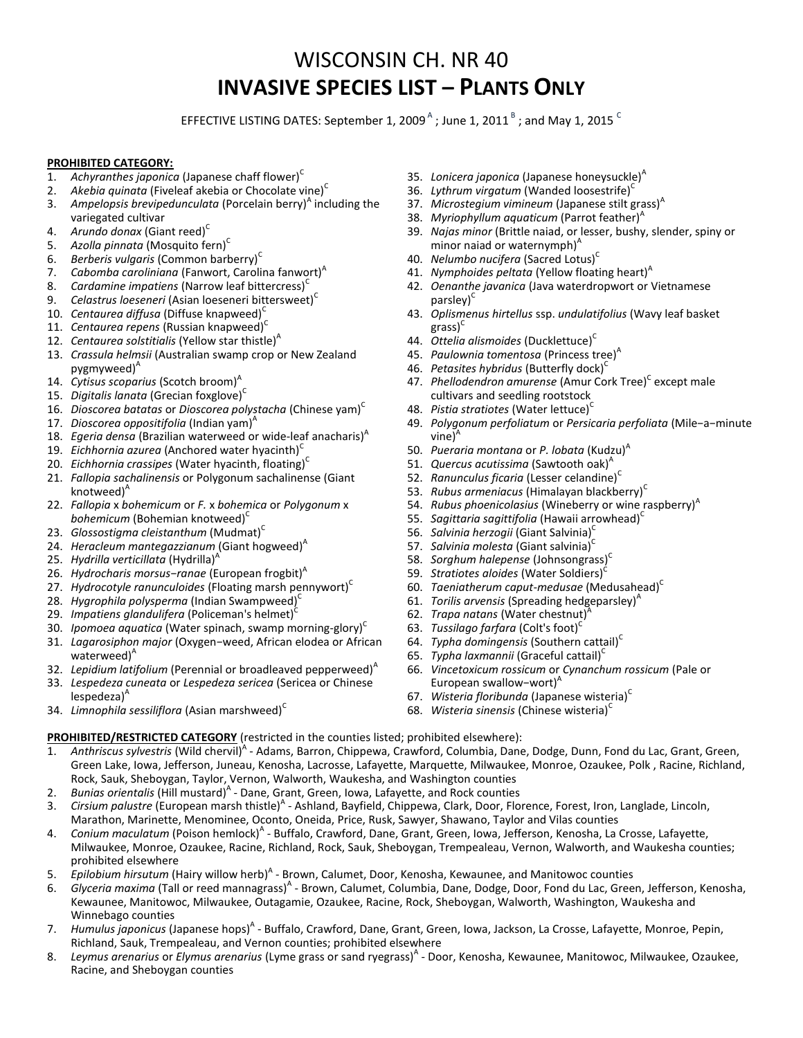## WISCONSIN CH. NR 40 **INVASIVE SPECIES LIST – PLANTS ONLY**

EFFECTIVE LISTING DATES: September 1, 2009  $^{\mathsf{A}}$  ; June 1, 2011  $^{\mathsf{B}}$  ; and May 1, 2015  $^{\mathsf{C}}$ 

## **PROHIBITED CATEGORY:**

- 1. *Achyranthes japonica* (Japanese chaff flower)<sup>C</sup>
- 2. *Akebia quinata* (Fiveleaf akebia or Chocolate vine)<sup>C</sup>
- 3. Ampelopsis brevipedunculata (Porcelain berry)<sup>A</sup> including the variegated cultivar
- 4. Arundo donax (Giant reed)<sup>C</sup>
- 5. *Azolla pinnata* (Mosquito fern)<sup>C</sup>
- 6. *Berberis vulgaris* (Common barberry)<sup>C</sup>
- 7. Cabomba caroliniana (Fanwort, Carolina fanwort)<sup>A</sup>
- 8. *Cardamine impatiens* (Narrow leaf bittercress)<sup>c</sup>
- 9. *Celastrus loeseneri* (Asian loeseneri bittersweet)<sup>C</sup>
- 10. *Centaurea diffusa* (Diffuse knapweed)<sup>C</sup>
- 11. *Centaurea repens* (Russian knapweed)<sup>C</sup>
- 12. *Centaurea solstitialis* (Yellow star thistle)<sup>A</sup>
- 13. *Crassula helmsii* (Australian swamp crop or New Zealand pygmyweed)<sup>A</sup>
- 14. *Cytisus scoparius* (Scotch broom)<sup>A</sup>
- 15. *Digitalis lanata* (Grecian foxglove)<sup>C</sup>
- 16. *Dioscorea batatas* or *Dioscorea polystacha* (Chinese yam)<sup>c</sup>
- 17. *Dioscorea oppositifolia* (Indian yam)<sup>*A*</sup>
- 18. *Egeria densa* (Brazilian waterweed or wide-leaf anacharis)<sup>A</sup>
- 19. *Eichhornia azurea* (Anchored water hyacinth)<sup>C</sup>
- 20. *Eichhornia crassipes* (Water hyacinth, floating)<sup>c</sup>
- 21. *Fallopia sachalinensis* or Polygonum sachalinense (Giant knotweed)<sup>A</sup>
- 22. *Fallopia* x *bohemicum* or *F.* x *bohemica* or *Polygonum* x bohemicum (Bohemian knotweed)<sup>C</sup>
- 23. *Glossostigma cleistanthum* (Mudmat)<sup>C</sup>
- 24. *Heracleum mantegazzianum* (Giant hogweed)<sup>A</sup>
- 25. *Hydrilla verticillata* (Hydrilla)<sup>A</sup>
- 26. *Hydrocharis morsus-ranae* (European frogbit)<sup>A</sup>
- 27. *Hydrocotyle ranunculoides* (Floating marsh pennywort)<sup>c</sup>
- 28. Hygrophila polysperma (Indian Swampweed)<sup>c</sup>
- 29. *Impatiens glandulifera* (Policeman's helmet)<sup>c</sup>
- 30. *Ipomoea aquatica* (Water spinach, swamp morning-glory)<sup>C</sup>
- 31. *Lagarosiphon major* (Oxygen−weed, African elodea or African waterweed)<sup>A</sup>
- 32. Lepidium latifolium (Perennial or broadleaved pepperweed)<sup>A</sup>
- 33. *Lespedeza cuneata* or *Lespedeza sericea* (Sericea or Chinese
- $lespedeza)^A$
- 34. *Limnophila sessiliflora* (Asian marshweed)<sup>C</sup>
- 35. *Lonicera japonica* (Japanese honeysuckle)<sup>A</sup>
- 36. Lythrum virgatum (Wanded loosestrife)<sup>C</sup>
- 37. *Microstegium vimineum* (Japanese stilt grass)<sup>A</sup>
- 38. Myriophyllum aquaticum (Parrot feather)<sup>A</sup>
- 39. *Najas minor* (Brittle naiad, or lesser, bushy, slender, spiny or minor naiad or waternymph $)^A$
- 40. Nelumbo nucifera (Sacred Lotus)<sup>c</sup>
- 41. *Nymphoides peltata* (Yellow floating heart)<sup>A</sup>
- 42. *Oenanthe javanica* (Java waterdropwort or Vietnamese parsley)<sup>c</sup>
- 43. *Oplismenus hirtellus* ssp. *undulatifolius* (Wavy leaf basket  $grass$ <sup>C</sup>
- 44. *Ottelia alismoides* (Ducklettuce)<sup>C</sup>
- 45. Paulownia tomentosa (Princess tree)<sup>A</sup>
- 46. Petasites hybridus (Butterfly dock)<sup>C</sup>
- 47. Phellodendron amurense (Amur Cork Tree)<sup>c</sup> except male cultivars and seedling rootstock
- 48. Pistia stratiotes (Water lettuce)<sup>c</sup>
- 49. *Polygonum perfoliatum* or *Persicaria perfoliata* (Mile−a−minute  $vine)^A$
- 50. *Pueraria montana* or *P. lobata* (Kudzu)<sup>A</sup>
- 51. *Quercus acutissima* (Sawtooth oak)<sup>A</sup>
- 52. *Ranunculus ficaria* (Lesser celandine)<sup>C</sup>
- 53. *Rubus armeniacus* (Himalayan blackberry)<sup>C</sup>
- 54. *Rubus phoenicolasius* (Wineberry or wine raspberry)<sup>A</sup>
- 55. *Sagittaria sagittifolia* (Hawaii arrowhead)<sup>C</sup>
- 56. *Salvinia herzogii* (Giant Salvinia)<sup>C</sup>
- 57. *Salvinia molesta* (Giant salvinia)<sup>c</sup>
- 58. *Sorghum halepense* (Johnsongrass) C
- 59. *Stratiotes aloides* (Water Soldiers)<sup>c</sup>
- 60. *Taeniatherum caput-medusae* (Medusahead)<sup>C</sup>
- 61. *Torilis arvensis* (Spreading hedgeparsley)<sup>A</sup>
- 62. *Trapa natans* (Water chestnut)<sup>7</sup>
- 63. *Tussilago farfara* (Colt's foot)<sup>C</sup>
- 64. *Typha domingensis* (Southern cattail)<sup>C</sup>
- 65. Typha laxmannii (Graceful cattail)<sup>C</sup>
- 66. *Vincetoxicum rossicum* or *Cynanchum rossicum* (Pale or European swallow-wort)<sup>A</sup>
- 67. Wisteria floribunda (Japanese wisteria)<sup>C</sup>
- 68. Wisteria sinensis (Chinese wisteria)<sup>C</sup>

## **PROHIBITED/RESTRICTED CATEGORY** (restricted in the counties listed; prohibited elsewhere):

- 1. Anthriscus sylvestris (Wild chervil)<sup>A</sup> Adams, Barron, Chippewa, Crawford, Columbia, Dane, Dodge, Dunn, Fond du Lac, Grant, Green, Green Lake, Iowa, Jefferson, Juneau, Kenosha, Lacrosse, Lafayette, Marquette, Milwaukee, Monroe, Ozaukee, Polk , Racine, Richland, Rock, Sauk, Sheboygan, Taylor, Vernon, Walworth, Waukesha, and Washington counties
- 2. Bunias orientalis (Hill mustard)<sup>A</sup> Dane, Grant, Green, Iowa, Lafayette, and Rock counties
- 3. Cirsium palustre (European marsh thistle)<sup>A</sup> Ashland, Bayfield, Chippewa, Clark, Door, Florence, Forest, Iron, Langlade, Lincoln, Marathon, Marinette, Menominee, Oconto, Oneida, Price, Rusk, Sawyer, Shawano, Taylor and Vilas counties
- 4. Conium maculatum (Poison hemlock)<sup>A</sup> Buffalo, Crawford, Dane, Grant, Green, Iowa, Jefferson, Kenosha, La Crosse, Lafayette, Milwaukee, Monroe, Ozaukee, Racine, Richland, Rock, Sauk, Sheboygan, Trempealeau, Vernon, Walworth, and Waukesha counties; prohibited elsewhere
- 5. Epilobium hirsutum (Hairy willow herb)<sup>A</sup> Brown, Calumet, Door, Kenosha, Kewaunee, and Manitowoc counties
- 6. Glyceria maxima (Tall or reed mannagrass)<sup>A</sup> Brown, Calumet, Columbia, Dane, Dodge, Door, Fond du Lac, Green, Jefferson, Kenosha, Kewaunee, Manitowoc, Milwaukee, Outagamie, Ozaukee, Racine, Rock, Sheboygan, Walworth, Washington, Waukesha and Winnebago counties
- 7. Humulus japonicus (Japanese hops)<sup>A</sup> Buffalo, Crawford, Dane, Grant, Green, Iowa, Jackson, La Crosse, Lafayette, Monroe, Pepin, Richland, Sauk, Trempealeau, and Vernon counties; prohibited elsewhere
- 8. Leymus arenarius or Elymus arenarius (Lyme grass or sand ryegrass)<sup>A</sup> Door, Kenosha, Kewaunee, Manitowoc, Milwaukee, Ozaukee, Racine, and Sheboygan counties